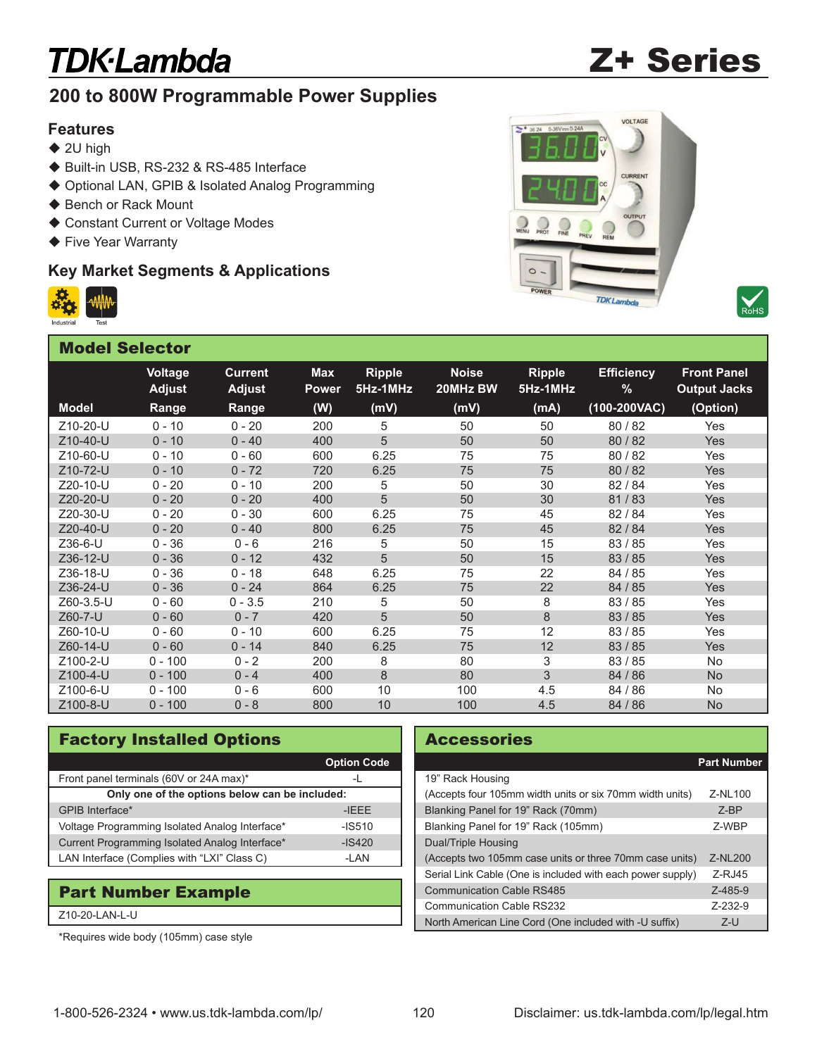# **TDK-Lambda**

# Z+ Series

## **200 to 800W Programmable Power Supplies**

#### **Features**

- $\triangleq$  2U high
- ◆ Built-in USB, RS-232 & RS-485 Interface
- ◆ Optional LAN, GPIB & Isolated Analog Programming
- ◆ Bench or Rack Mount
- ♦ Constant Current or Voltage Modes
- ◆ Five Year Warranty

### **Key Market Segments & Applications**







| <b>Model Selector</b> |                                 |                                 |                            |                           |                          |                           |                           |                                           |  |  |  |  |
|-----------------------|---------------------------------|---------------------------------|----------------------------|---------------------------|--------------------------|---------------------------|---------------------------|-------------------------------------------|--|--|--|--|
|                       | <b>Voltage</b><br><b>Adjust</b> | <b>Current</b><br><b>Adjust</b> | <b>Max</b><br><b>Power</b> | <b>Ripple</b><br>5Hz-1MHz | <b>Noise</b><br>20MHz BW | <b>Ripple</b><br>5Hz-1MHz | <b>Efficiency</b><br>$\%$ | <b>Front Panel</b><br><b>Output Jacks</b> |  |  |  |  |
| <b>Model</b>          | Range                           | Range                           | (W)                        | (mV)                      | (mV)                     | (mA)                      | $(100-200VAC)$            | (Option)                                  |  |  |  |  |
| Z10-20-U              | $0 - 10$                        | $0 - 20$                        | 200                        | 5                         | 50                       | 50                        | 80/82                     | Yes                                       |  |  |  |  |
| Z10-40-U              | $0 - 10$                        | $0 - 40$                        | 400                        | 5                         | 50                       | 50                        | 80/82                     | <b>Yes</b>                                |  |  |  |  |
| Z10-60-U              | $0 - 10$                        | $0 - 60$                        | 600                        | 6.25                      | 75                       | 75                        | 80/82                     | Yes                                       |  |  |  |  |
| Z10-72-U              | $0 - 10$                        | $0 - 72$                        | 720                        | 6.25                      | 75                       | 75                        | 80/82                     | <b>Yes</b>                                |  |  |  |  |
| Z20-10-U              | $0 - 20$                        | $0 - 10$                        | 200                        | 5                         | 50                       | 30                        | 82/84                     | Yes                                       |  |  |  |  |
| Z20-20-U              | $0 - 20$                        | $0 - 20$                        | 400                        | 5                         | 50                       | 30                        | 81/83                     | Yes                                       |  |  |  |  |
| Z20-30-U              | $0 - 20$                        | $0 - 30$                        | 600                        | 6.25                      | 75                       | 45                        | 82/84                     | Yes                                       |  |  |  |  |
| Z20-40-U              | $0 - 20$                        | $0 - 40$                        | 800                        | 6.25                      | 75                       | 45                        | 82 / 84                   | Yes                                       |  |  |  |  |
| Z36-6-U               | $0 - 36$                        | $0 - 6$                         | 216                        | 5                         | 50                       | 15                        | 83/85                     | Yes                                       |  |  |  |  |
| Z36-12-U              | $0 - 36$                        | $0 - 12$                        | 432                        | 5                         | 50                       | 15                        | 83/85                     | <b>Yes</b>                                |  |  |  |  |
| Z36-18-U              | $0 - 36$                        | $0 - 18$                        | 648                        | 6.25                      | 75                       | 22                        | 84 / 85                   | Yes                                       |  |  |  |  |
| Z36-24-U              | $0 - 36$                        | $0 - 24$                        | 864                        | 6.25                      | 75                       | 22                        | 84 / 85                   | <b>Yes</b>                                |  |  |  |  |
| Z60-3.5-U             | $0 - 60$                        | $0 - 3.5$                       | 210                        | 5                         | 50                       | 8                         | 83/85                     | Yes                                       |  |  |  |  |
| Z60-7-U               | $0 - 60$                        | $0 - 7$                         | 420                        | 5                         | 50                       | 8                         | 83/85                     | <b>Yes</b>                                |  |  |  |  |
| Z60-10-U              | $0 - 60$                        | $0 - 10$                        | 600                        | 6.25                      | 75                       | 12                        | 83/85                     | Yes                                       |  |  |  |  |
| Z60-14-U              | $0 - 60$                        | $0 - 14$                        | 840                        | 6.25                      | 75                       | 12                        | 83/85                     | <b>Yes</b>                                |  |  |  |  |
| Z100-2-U              | $0 - 100$                       | $0 - 2$                         | 200                        | 8                         | 80                       | 3                         | 83/85                     | <b>No</b>                                 |  |  |  |  |
| Z100-4-U              | $0 - 100$                       | $0 - 4$                         | 400                        | 8                         | 80                       | 3                         | 84 / 86                   | <b>No</b>                                 |  |  |  |  |
| Z100-6-U              | $0 - 100$                       | $0 - 6$                         | 600                        | 10                        | 100                      | 4.5                       | 84 / 86                   | No                                        |  |  |  |  |
| Z100-8-U              | $0 - 100$                       | $0 - 8$                         | 800                        | 10                        | 100                      | 4.5                       | 84 / 86                   | <b>No</b>                                 |  |  |  |  |

### Factory Installed Options

|                                                | <b>Option Code</b> |  |  |  |  |
|------------------------------------------------|--------------------|--|--|--|--|
| Front panel terminals (60V or 24A max)*        |                    |  |  |  |  |
| Only one of the options below can be included: |                    |  |  |  |  |
| GPIB Interface*                                | <b>HEFF</b>        |  |  |  |  |
| Voltage Programming Isolated Analog Interface* | $ \frac{-1}{5}$    |  |  |  |  |
| Current Programming Isolated Analog Interface* | $-1S420$           |  |  |  |  |
| LAN Interface (Complies with "LXI" Class C)    | -I AN              |  |  |  |  |

#### Part Number Example

#### Z10-20-LAN-L-U

\*Requires wide body (105mm) case style

#### **Accessories**

|                                                            | <b>Part Number</b> |
|------------------------------------------------------------|--------------------|
| 19" Rack Housing                                           |                    |
| (Accepts four 105mm width units or six 70mm width units)   | Z-NL100            |
| Blanking Panel for 19" Rack (70mm)                         | $7-RP$             |
| Blanking Panel for 19" Rack (105mm)                        | Z-WBP              |
| Dual/Triple Housing                                        |                    |
| (Accepts two 105mm case units or three 70mm case units)    | Z-NL200            |
| Serial Link Cable (One is included with each power supply) | $Z-RJ45$           |
| <b>Communication Cable RS485</b>                           | $Z - 485 - 9$      |
| Communication Cable RS232                                  | $7-232-9$          |
| North American Line Cord (One included with -U suffix)     | $Z-U$              |